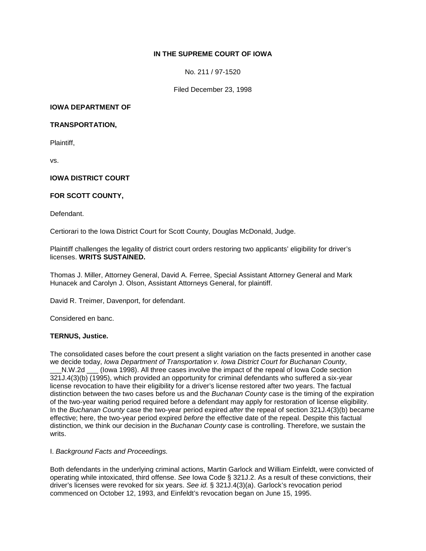# **IN THE SUPREME COURT OF IOWA**

No. 211 / 97-1520

Filed December 23, 1998

# **IOWA DEPARTMENT OF**

### **TRANSPORTATION,**

Plaintiff,

vs.

## **IOWA DISTRICT COURT**

## **FOR SCOTT COUNTY,**

Defendant.

Certiorari to the Iowa District Court for Scott County, Douglas McDonald, Judge.

Plaintiff challenges the legality of district court orders restoring two applicants' eligibility for driver's licenses. **WRITS SUSTAINED.**

Thomas J. Miller, Attorney General, David A. Ferree, Special Assistant Attorney General and Mark Hunacek and Carolyn J. Olson, Assistant Attorneys General, for plaintiff.

David R. Treimer, Davenport, for defendant.

Considered en banc.

### **TERNUS, Justice.**

The consolidated cases before the court present a slight variation on the facts presented in another case we decide today, *Iowa Department of Transportation v. Iowa District Court for Buchanan County*,

N.W.2d \_\_\_ (lowa 1998). All three cases involve the impact of the repeal of lowa Code section 321J.4(3)(b) (1995), which provided an opportunity for criminal defendants who suffered a six-year license revocation to have their eligibility for a driver's license restored after two years. The factual distinction between the two cases before us and the *Buchanan County* case is the timing of the expiration of the two-year waiting period required before a defendant may apply for restoration of license eligibility. In the *Buchanan County* case the two-year period expired *after* the repeal of section 321J.4(3)(b) became effective; here, the two-year period expired *before* the effective date of the repeal. Despite this factual distinction, we think our decision in the *Buchanan County* case is controlling. Therefore, we sustain the writs.

I. *Background Facts and Proceedings.*

Both defendants in the underlying criminal actions, Martin Garlock and William Einfeldt, were convicted of operating while intoxicated, third offense. *See* Iowa Code § 321J.2. As a result of these convictions, their driver's licenses were revoked for six years. *See id.* § 321J.4(3)(a). Garlock's revocation period commenced on October 12, 1993, and Einfeldt's revocation began on June 15, 1995.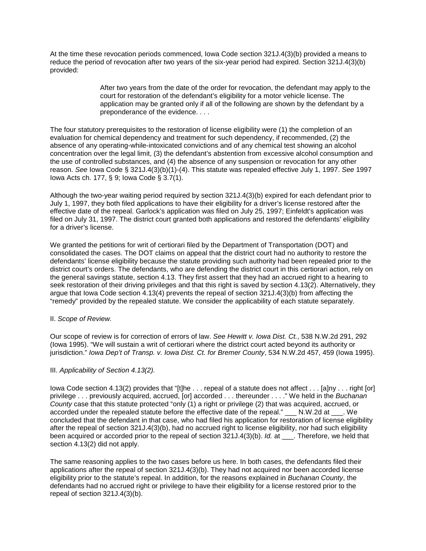At the time these revocation periods commenced, Iowa Code section 321J.4(3)(b) provided a means to reduce the period of revocation after two years of the six-year period had expired. Section 321J.4(3)(b) provided:

> After two years from the date of the order for revocation, the defendant may apply to the court for restoration of the defendant's eligibility for a motor vehicle license. The application may be granted only if all of the following are shown by the defendant by a preponderance of the evidence. . . .

The four statutory prerequisites to the restoration of license eligibility were (1) the completion of an evaluation for chemical dependency and treatment for such dependency, if recommended, (2) the absence of any operating-while-intoxicated convictions and of any chemical test showing an alcohol concentration over the legal limit, (3) the defendant's abstention from excessive alcohol consumption and the use of controlled substances, and (4) the absence of any suspension or revocation for any other reason. *See* Iowa Code § 321J.4(3)(b)(1)-(4). This statute was repealed effective July 1, 1997. *See* 1997 Iowa Acts ch. 177, § 9; Iowa Code § 3.7(1).

Although the two-year waiting period required by section 321J.4(3)(b) expired for each defendant prior to July 1, 1997, they both filed applications to have their eligibility for a driver's license restored after the effective date of the repeal. Garlock's application was filed on July 25, 1997; Einfeldt's application was filed on July 31, 1997. The district court granted both applications and restored the defendants' eligibility for a driver's license.

We granted the petitions for writ of certiorari filed by the Department of Transportation (DOT) and consolidated the cases. The DOT claims on appeal that the district court had no authority to restore the defendants' license eligibility because the statute providing such authority had been repealed prior to the district court's orders. The defendants, who are defending the district court in this certiorari action, rely on the general savings statute, section 4.13. They first assert that they had an accrued right to a hearing to seek restoration of their driving privileges and that this right is saved by section 4.13(2). Alternatively, they argue that Iowa Code section 4.13(4) prevents the repeal of section 321J.4(3)(b) from affecting the "remedy" provided by the repealed statute. We consider the applicability of each statute separately.

### II. *Scope of Review.*

Our scope of review is for correction of errors of law. *See Hewitt v. Iowa Dist. Ct.*, 538 N.W.2d 291, 292 (Iowa 1995). "We will sustain a writ of certiorari where the district court acted beyond its authority or jurisdiction." *Iowa Dep't of Transp. v. Iowa Dist. Ct. for Bremer County*, 534 N.W.2d 457, 459 (Iowa 1995).

### III. *Applicability of Section 4.13(2).*

Iowa Code section 4.13(2) provides that "[t]he . . . repeal of a statute does not affect . . . [a]ny . . . right [or] privilege . . . previously acquired, accrued, [or] accorded . . . thereunder . . . ." We held in the *Buchanan County* case that this statute protected "only (1) a right or privilege (2) that was acquired, accrued, or accorded under the repealed statute before the effective date of the repeal." \_\_\_ N.W.2d at \_\_\_. We concluded that the defendant in that case, who had filed his application for restoration of license eligibility after the repeal of section 321J.4(3)(b), had no accrued right to license eligibility, nor had such eligibility been acquired or accorded prior to the repeal of section 321J.4(3)(b). *Id.* at \_\_\_. Therefore, we held that section 4.13(2) did not apply.

The same reasoning applies to the two cases before us here. In both cases, the defendants filed their applications after the repeal of section 321J.4(3)(b). They had not acquired nor been accorded license eligibility prior to the statute's repeal. In addition, for the reasons explained in *Buchanan County*, the defendants had no accrued right or privilege to have their eligibility for a license restored prior to the repeal of section 321J.4(3)(b).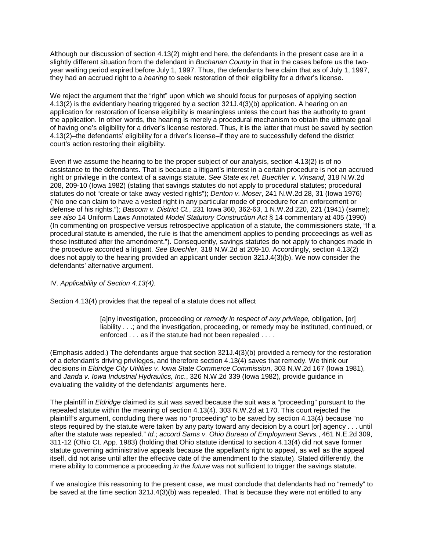Although our discussion of section 4.13(2) might end here, the defendants in the present case are in a slightly different situation from the defendant in *Buchanan County* in that in the cases before us the twoyear waiting period expired before July 1, 1997. Thus, the defendants here claim that as of July 1, 1997, they had an accrued right to a *hearing* to seek restoration of their eligibility for a driver's license.

We reject the argument that the "right" upon which we should focus for purposes of applying section 4.13(2) is the evidentiary hearing triggered by a section 321J.4(3)(b) application. A hearing on an application for restoration of license eligibility is meaningless unless the court has the authority to grant the application. In other words, the hearing is merely a procedural mechanism to obtain the ultimate goal of having one's eligibility for a driver's license restored. Thus, it is the latter that must be saved by section 4.13(2)–the defendants' eligibility for a driver's license–if they are to successfully defend the district court's action restoring their eligibility.

Even if we assume the hearing to be the proper subject of our analysis, section 4.13(2) is of no assistance to the defendants. That is because a litigant's interest in a certain procedure is not an accrued right or privilege in the context of a savings statute. *See State ex rel. Buechler v. Vinsand*, 318 N.W.2d 208, 209-10 (Iowa 1982) (stating that savings statutes do not apply to procedural statutes; procedural statutes do not "create or take away vested rights"); *Denton v. Moser*, 241 N.W.2d 28, 31 (Iowa 1976) ("No one can claim to have a vested right in any particular mode of procedure for an enforcement or defense of his rights."); *Bascom v. District Ct.*, 231 Iowa 360, 362-63, 1 N.W.2d 220, 221 (1941) (same); *see also* 14 Uniform Laws Annotated *Model Statutory Construction Act* § 14 commentary at 405 (1990) (In commenting on prospective versus retrospective application of a statute, the commissioners state, "If a procedural statute is amended, the rule is that the amendment applies to pending proceedings as well as those instituted after the amendment."). Consequently, savings statutes do not apply to changes made in the procedure accorded a litigant. *See Buechler*, 318 N.W.2d at 209-10. Accordingly, section 4.13(2) does not apply to the hearing provided an applicant under section 321J.4(3)(b). We now consider the defendants' alternative argument.

### IV. *Applicability of Section 4.13(4).*

Section 4.13(4) provides that the repeal of a statute does not affect

[a]ny investigation, proceeding or *remedy in respect of any privilege,* obligation, [or] liability . . .; and the investigation, proceeding, or remedy may be instituted, continued, or enforced . . . as if the statute had not been repealed . . . .

(Emphasis added.) The defendants argue that section 321J.4(3)(b) provided a remedy for the restoration of a defendant's driving privileges, and therefore section 4.13(4) saves that remedy. We think our decisions in *Eldridge City Utilities v. Iowa State Commerce Commission*, 303 N.W.2d 167 (Iowa 1981), and *Janda v. Iowa Industrial Hydraulics, Inc.*, 326 N.W.2d 339 (Iowa 1982), provide guidance in evaluating the validity of the defendants' arguments here.

The plaintiff in *Eldridge* claimed its suit was saved because the suit was a "proceeding" pursuant to the repealed statute within the meaning of section 4.13(4). 303 N.W.2d at 170. This court rejected the plaintiff's argument, concluding there was no "proceeding" to be saved by section 4.13(4) because "no steps required by the statute were taken by any party toward any decision by a court [or] agency . . . until after the statute was repealed." *Id.*; *accord Sams v. Ohio Bureau of Employment Servs.*, 461 N.E.2d 309, 311-12 (Ohio Ct. App. 1983) (holding that Ohio statute identical to section 4.13(4) did not save former statute governing administrative appeals because the appellant's right to appeal, as well as the appeal itself, did not arise until after the effective date of the amendment to the statute). Stated differently, the mere ability to commence a proceeding *in the future* was not sufficient to trigger the savings statute.

If we analogize this reasoning to the present case, we must conclude that defendants had no "remedy" to be saved at the time section 321J.4(3)(b) was repealed. That is because they were not entitled to any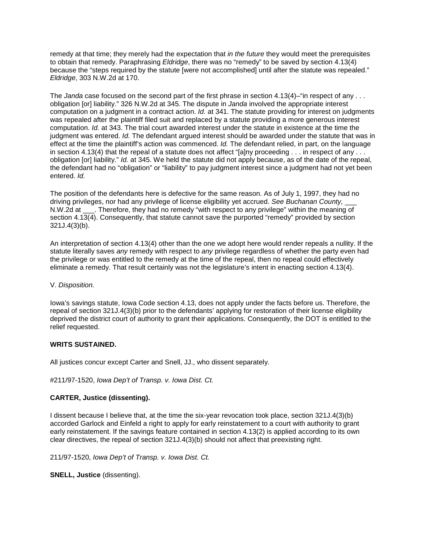remedy at that time; they merely had the expectation that *in the future* they would meet the prerequisites to obtain that remedy. Paraphrasing *Eldridge*, there was no "remedy" to be saved by section 4.13(4) because the "steps required by the statute [were not accomplished] until after the statute was repealed." *Eldridge*, 303 N.W.2d at 170.

The *Janda* case focused on the second part of the first phrase in section 4.13(4)–"in respect of any . . . obligation [or] liability." 326 N.W.2d at 345. The dispute in *Janda* involved the appropriate interest computation on a judgment in a contract action. *Id.* at 341. The statute providing for interest on judgments was repealed after the plaintiff filed suit and replaced by a statute providing a more generous interest computation. *Id.* at 343. The trial court awarded interest under the statute in existence at the time the judgment was entered. *Id.* The defendant argued interest should be awarded under the statute that was in effect at the time the plaintiff's action was commenced. *Id.* The defendant relied, in part, on the language in section 4.13(4) that the repeal of a statute does not affect "[a]ny proceeding . . . in respect of any . . . obligation [or] liability." *Id.* at 345. We held the statute did not apply because, as of the date of the repeal, the defendant had no "obligation" or "liability" to pay judgment interest since a judgment had not yet been entered. *Id.*

The position of the defendants here is defective for the same reason. As of July 1, 1997, they had no driving privileges, nor had any privilege of license eligibility yet accrued. *See Buchanan County,* \_\_\_ N.W.2d at \_\_\_. Therefore, they had no remedy "with respect to any privilege" within the meaning of section 4.13(4). Consequently, that statute cannot save the purported "remedy" provided by section 321J.4(3)(b).

An interpretation of section 4.13(4) other than the one we adopt here would render repeals a nullity. If the statute literally saves *any* remedy with respect to *any* privilege regardless of whether the party even had the privilege or was entitled to the remedy at the time of the repeal, then no repeal could effectively eliminate a remedy. That result certainly was not the legislature's intent in enacting section 4.13(4).

### V. *Disposition.*

Iowa's savings statute, Iowa Code section 4.13, does not apply under the facts before us. Therefore, the repeal of section 321J.4(3)(b) prior to the defendants' applying for restoration of their license eligibility deprived the district court of authority to grant their applications. Consequently, the DOT is entitled to the relief requested.

### **WRITS SUSTAINED.**

All justices concur except Carter and Snell, JJ., who dissent separately.

#211/97-1520, *Iowa Dep't of Transp. v. Iowa Dist. Ct.*

# **CARTER, Justice (dissenting).**

I dissent because I believe that, at the time the six-year revocation took place, section 321J.4(3)(b) accorded Garlock and Einfeld a right to apply for early reinstatement to a court with authority to grant early reinstatement. If the savings feature contained in section 4.13(2) is applied according to its own clear directives, the repeal of section 321J.4(3)(b) should not affect that preexisting right.

211/97-1520, *Iowa Dep't of Transp. v. Iowa Dist. Ct.*

**SNELL, Justice** (dissenting).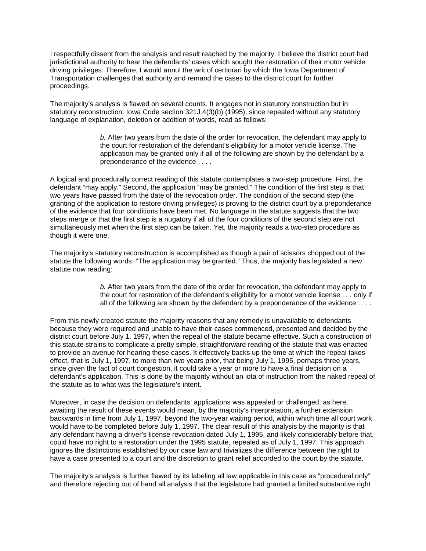I respectfully dissent from the analysis and result reached by the majority. I believe the district court had jurisdictional authority to hear the defendants' cases which sought the restoration of their motor vehicle driving privileges. Therefore, I would annul the writ of certiorari by which the Iowa Department of Transportation challenges that authority and remand the cases to the district court for further proceedings.

The majority's analysis is flawed on several counts. It engages not in statutory construction but in statutory reconstruction. Iowa Code section 321J.4(3)(b) (1995), since repealed without any statutory language of explanation, deletion or addition of words, read as follows:

> *b.* After two years from the date of the order for revocation, the defendant may apply to the court for restoration of the defendant's eligibility for a motor vehicle license. The application may be granted only if all of the following are shown by the defendant by a preponderance of the evidence . . . .

A logical and procedurally correct reading of this statute contemplates a two-step procedure. First, the defendant "may apply." Second, the application "may be granted." The condition of the first step is that two years have passed from the date of the revocation order. The condition of the second step (the granting of the application to restore driving privileges) is proving to the district court by a preponderance of the evidence that four conditions have been met. No language in the statute suggests that the two steps merge or that the first step is a nugatory if all of the four conditions of the second step are not simultaneously met when the first step can be taken. Yet, the majority reads a two-step procedure as though it were one.

The majority's statutory reconstruction is accomplished as though a pair of scissors chopped out of the statute the following words: "The application may be granted." Thus, the majority has legislated a new statute now reading:

> *b.* After two years from the date of the order for revocation, the defendant may apply to the court for restoration of the defendant's eligibility for a motor vehicle license . . . only if all of the following are shown by the defendant by a preponderance of the evidence . . . .

From this newly created statute the majority reasons that any remedy is unavailable to defendants because they were required and unable to have their cases commenced, presented and decided by the district court before July 1, 1997, when the repeal of the statute became effective. Such a construction of this statute strains to complicate a pretty simple, straightforward reading of the statute that was enacted to provide an avenue for hearing these cases. It effectively backs up the time at which the repeal takes effect, that is July 1, 1997, to more than two years prior, that being July 1, 1995, perhaps three years, since given the fact of court congestion, it could take a year or more to have a final decision on a defendant's application. This is done by the majority without an iota of instruction from the naked repeal of the statute as to what was the legislature's intent.

Moreover, in case the decision on defendants' applications was appealed or challenged, as here, awaiting the result of these events would mean, by the majority's interpretation, a further extension backwards in time from July 1, 1997, beyond the two-year waiting period, within which time all court work would have to be completed before July 1, 1997. The clear result of this analysis by the majority is that any defendant having a driver's license revocation dated July 1, 1995, and likely considerably before that, could have no right to a restoration under the 1995 statute, repealed as of July 1, 1997. This approach ignores the distinctions established by our case law and trivializes the difference between the right to have a case presented to a court and the discretion to grant relief accorded to the court by the statute.

The majority's analysis is further flawed by its labeling all law applicable in this case as "procedural only" and therefore rejecting out of hand all analysis that the legislature had granted a limited substantive right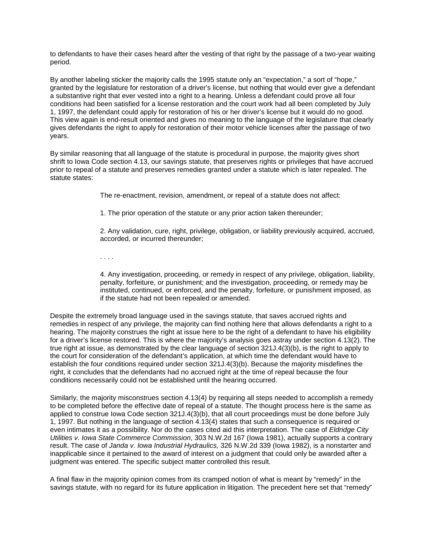to defendants to have their cases heard after the vesting of that right by the passage of a two-year waiting period.

By another labeling sticker the majority calls the 1995 statute only an "expectation," a sort of "hope," granted by the legislature for restoration of a driver's license, but nothing that would ever give a defendant a substantive right that ever vested into a right to a hearing. Unless a defendant could prove all four conditions had been satisfied for a license restoration and the court work had all been completed by July 1, 1997, the defendant could apply for restoration of his or her driver's license but it would do no good. This view again is end-result oriented and gives no meaning to the language of the legislature that clearly gives defendants the right to apply for restoration of their motor vehicle licenses after the passage of two years.

By similar reasoning that all language of the statute is procedural in purpose, the majority gives short shrift to Iowa Code section 4.13, our savings statute, that preserves rights or privileges that have accrued prior to repeal of a statute and preserves remedies granted under a statute which is later repealed. The statute states:

The re-enactment, revision, amendment, or repeal of a statute does not affect:

1. The prior operation of the statute or any prior action taken thereunder;

2. Any validation, cure, right, privilege, obligation, or liability previously acquired, accrued, accorded, or incurred thereunder;

. . . .

4. Any investigation, proceeding, or remedy in respect of any privilege, obligation, liability, penalty, forfeiture, or punishment; and the investigation, proceeding, or remedy may be instituted, continued, or enforced, and the penalty, forfeiture, or punishment imposed, as if the statute had not been repealed or amended.

Despite the extremely broad language used in the savings statute, that saves accrued rights and remedies in respect of any privilege, the majority can find nothing here that allows defendants a right to a hearing. The majority construes the right at issue here to be the right of a defendant to have his eligibility for a driver's license restored. This is where the majority's analysis goes astray under section 4.13(2). The true right at issue, as demonstrated by the clear language of section 321J.4(3)(b), is the right to apply to the court for consideration of the defendant's application, at which time the defendant would have to establish the four conditions required under section 321J.4(3)(b). Because the majority misdefines the right, it concludes that the defendants had no accrued right at the time of repeal because the four conditions necessarily could not be established until the hearing occurred.

Similarly, the majority misconstrues section 4.13(4) by requiring all steps needed to accomplish a remedy to be completed before the effective date of repeal of a statute. The thought process here is the same as applied to construe Iowa Code section 321J.4(3)(b), that all court proceedings must be done before July 1, 1997. But nothing in the language of section 4.13(4) states that such a consequence is required or even intimates it as a possibility. Nor do the cases cited aid this interpretation. The case of *Eldridge City Utilities v. Iowa State Commerce Commission*, 303 N.W.2d 167 (Iowa 1981), actually supports a contrary result. The case of *Janda v. Iowa Industrial Hydraulics,* 326 N.W.2d 339 (Iowa 1982), is a nonstarter and inapplicable since it pertained to the award of interest on a judgment that could only be awarded after a judgment was entered. The specific subject matter controlled this result.

A final flaw in the majority opinion comes from its cramped notion of what is meant by "remedy" in the savings statute, with no regard for its future application in litigation. The precedent here set that "remedy"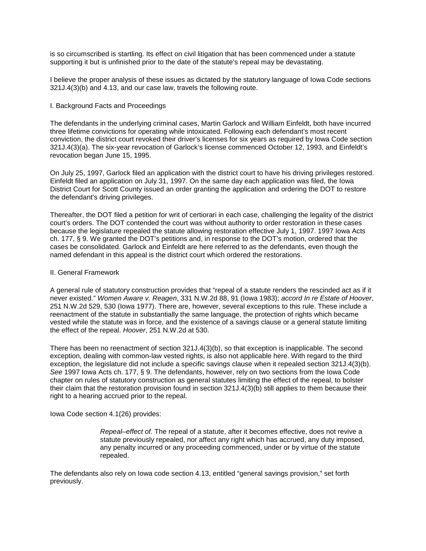is so circumscribed is startling. Its effect on civil litigation that has been commenced under a statute supporting it but is unfinished prior to the date of the statute's repeal may be devastating.

I believe the proper analysis of these issues as dictated by the statutory language of Iowa Code sections 321J.4(3)(b) and 4.13, and our case law, travels the following route.

### I. Background Facts and Proceedings

The defendants in the underlying criminal cases, Martin Garlock and William Einfeldt, both have incurred three lifetime convictions for operating while intoxicated. Following each defendant's most recent conviction, the district court revoked their driver's licenses for six years as required by Iowa Code section 321J.4(3)(a). The six-year revocation of Garlock's license commenced October 12, 1993, and Einfeldt's revocation began June 15, 1995.

On July 25, 1997, Garlock filed an application with the district court to have his driving privileges restored. Einfeldt filed an application on July 31, 1997. On the same day each application was filed, the Iowa District Court for Scott County issued an order granting the application and ordering the DOT to restore the defendant's driving privileges.

Thereafter, the DOT filed a petition for writ of certiorari in each case, challenging the legality of the district court's orders. The DOT contended the court was without authority to order restoration in these cases because the legislature repealed the statute allowing restoration effective July 1, 1997. 1997 Iowa Acts ch. 177, § 9. We granted the DOT's petitions and, in response to the DOT's motion, ordered that the cases be consolidated. Garlock and Einfeldt are here referred to as the defendants, even though the named defendant in this appeal is the district court which ordered the restorations.

#### II. General Framework

A general rule of statutory construction provides that "repeal of a statute renders the rescinded act as if it never existed." *Women Aware v. Reagen*, 331 N.W.2d 88, 91 (Iowa 1983); *accord In re Estate of Hoover*, 251 N.W.2d 529, 530 (Iowa 1977). There are, however, several exceptions to this rule. These include a reenactment of the statute in substantially the same language, the protection of rights which became vested while the statute was in force, and the existence of a savings clause or a general statute limiting the effect of the repeal. *Hoover*, 251 N.W.2d at 530.

There has been no reenactment of section 321J.4(3)(b), so that exception is inapplicable. The second exception, dealing with common-law vested rights, is also not applicable here. With regard to the third exception, the legislature did not include a specific savings clause when it repealed section 321J.4(3)(b). *See* 1997 Iowa Acts ch. 177, § 9. The defendants, however, rely on two sections from the Iowa Code chapter on rules of statutory construction as general statutes limiting the effect of the repeal, to bolster their claim that the restoration provision found in section 321J.4(3)(b) still applies to them because their right to a hearing accrued prior to the repeal.

Iowa Code section 4.1(26) provides:

*Repeal–effect of.* The repeal of a statute, after it becomes effective, does not revive a statute previously repealed, nor affect any right which has accrued, any duty imposed, any penalty incurred or any proceeding commenced, under or by virtue of the statute repealed.

The defendants also rely on Iowa code section 4.13, entitled "general savings provision," set forth previously.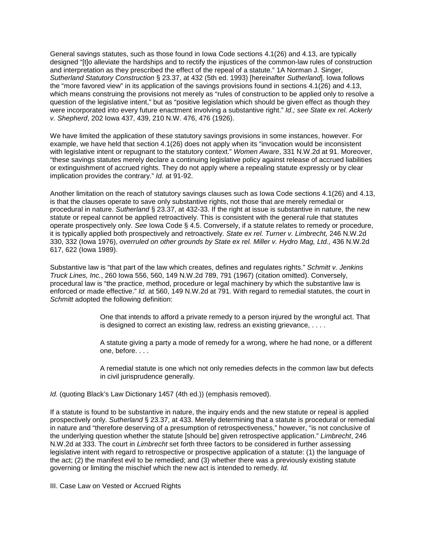General savings statutes, such as those found in Iowa Code sections 4.1(26) and 4.13, are typically designed "[t]o alleviate the hardships and to rectify the injustices of the common-law rules of construction and interpretation as they prescribed the effect of the repeal of a statute." 1A Norman J. Singer, *Sutherland Statutory Construction* § 23.37, at 432 (5th ed. 1993) [hereinafter *Sutherland*]. Iowa follows the "more favored view" in its application of the savings provisions found in sections 4.1(26) and 4.13, which means construing the provisions not merely as "rules of construction to be applied only to resolve a question of the legislative intent," but as "positive legislation which should be given effect as though they were incorporated into every future enactment involving a substantive right." *Id.; see State ex rel. Ackerly v. Shepherd*, 202 Iowa 437, 439, 210 N.W. 476, 476 (1926).

We have limited the application of these statutory savings provisions in some instances, however. For example, we have held that section 4.1(26) does not apply when its "invocation would be inconsistent with legislative intent or repugnant to the statutory context." *Women Aware*, 331 N.W.2d at 91. Moreover, "these savings statutes merely declare a continuing legislative policy against release of accrued liabilities or extinguishment of accrued rights. They do not apply where a repealing statute expressly or by clear implication provides the contrary." *Id.* at 91-92.

Another limitation on the reach of statutory savings clauses such as Iowa Code sections 4.1(26) and 4.13, is that the clauses operate to save only substantive rights, not those that are merely remedial or procedural in nature. *Sutherland* § 23.37, at 432-33. If the right at issue is substantive in nature, the new statute or repeal cannot be applied retroactively. This is consistent with the general rule that statutes operate prospectively only. *See* Iowa Code § 4.5. Conversely, if a statute relates to remedy or procedure, it is typically applied both prospectively and retroactively. *State ex rel. Turner v. Limbrecht,* 246 N.W.2d 330, 332 (Iowa 1976), *overruled on other grounds by State ex rel. Miller v. Hydro Mag, Ltd., 436* N.W.2d 617, 622 (Iowa 1989).

Substantive law is "that part of the law which creates, defines and regulates rights." *Schmitt v. Jenkins Truck Lines, Inc.*, 260 Iowa 556, 560, 149 N.W.2d 789, 791 (1967) (citation omitted). Conversely, procedural law is "the practice, method, procedure or legal machinery by which the substantive law is enforced or made effective." *Id.* at 560, 149 N.W.2d at 791. With regard to remedial statutes, the court in *Schmitt* adopted the following definition:

> One that intends to afford a private remedy to a person injured by the wrongful act. That is designed to correct an existing law, redress an existing grievance, . . . .

> A statute giving a party a mode of remedy for a wrong, where he had none, or a different one, before. . . .

> A remedial statute is one which not only remedies defects in the common law but defects in civil jurisprudence generally.

*Id.* (quoting Black's Law Dictionary 1457 (4th ed.)) (emphasis removed).

If a statute is found to be substantive in nature, the inquiry ends and the new statute or repeal is applied prospectively only. *Sutherland* § 23.37, at 433. Merely determining that a statute is procedural or remedial in nature and "therefore deserving of a presumption of retrospectiveness," however, "is not conclusive of the underlying question whether the statute [should be] given retrospective application." *Limbrecht*, 246 N.W.2d at 333. The court in *Limbrecht* set forth three factors to be considered in further assessing legislative intent with regard to retrospective or prospective application of a statute: (1) the language of the act; (2) the manifest evil to be remedied; and (3) whether there was a previously existing statute governing or limiting the mischief which the new act is intended to remedy. *Id.*

III. Case Law on Vested or Accrued Rights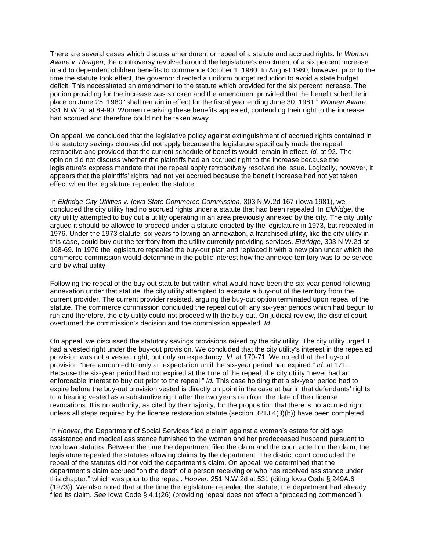There are several cases which discuss amendment or repeal of a statute and accrued rights. In *Women Aware v. Reagen*, the controversy revolved around the legislature's enactment of a six percent increase in aid to dependent children benefits to commence October 1, 1980. In August 1980, however, prior to the time the statute took effect, the governor directed a uniform budget reduction to avoid a state budget deficit. This necessitated an amendment to the statute which provided for the six percent increase. The portion providing for the increase was stricken and the amendment provided that the benefit schedule in place on June 25, 1980 "shall remain in effect for the fiscal year ending June 30, 1981." *Women Aware*, 331 N.W.2d at 89-90. Women receiving these benefits appealed, contending their right to the increase had accrued and therefore could not be taken away.

On appeal, we concluded that the legislative policy against extinguishment of accrued rights contained in the statutory savings clauses did not apply because the legislature specifically made the repeal retroactive and provided that the current schedule of benefits would remain in effect. *Id.* at 92. The opinion did not discuss whether the plaintiffs had an accrued right to the increase because the legislature's express mandate that the repeal apply retroactively resolved the issue. Logically, however, it appears that the plaintiffs' rights had not yet accrued because the benefit increase had not yet taken effect when the legislature repealed the statute.

In *Eldridge City Utilities v. Iowa State Commerce Commission*, 303 N.W.2d 167 (Iowa 1981), we concluded the city utility had no accrued rights under a statute that had been repealed. In *Eldridge*, the city utility attempted to buy out a utility operating in an area previously annexed by the city. The city utility argued it should be allowed to proceed under a statute enacted by the legislature in 1973, but repealed in 1976. Under the 1973 statute, six years following an annexation, a franchised utility, like the city utility in this case, could buy out the territory from the utility currently providing services. *Eldridge*, 303 N.W.2d at 168-69. In 1976 the legislature repealed the buy-out plan and replaced it with a new plan under which the commerce commission would determine in the public interest how the annexed territory was to be served and by what utility.

Following the repeal of the buy-out statute but within what would have been the six-year period following annexation under that statute, the city utility attempted to execute a buy-out of the territory from the current provider. The current provider resisted, arguing the buy-out option terminated upon repeal of the statute. The commerce commission concluded the repeal cut off any six-year periods which had begun to run and therefore, the city utility could not proceed with the buy-out. On judicial review, the district court overturned the commission's decision and the commission appealed. *Id.*

On appeal, we discussed the statutory savings provisions raised by the city utility. The city utility urged it had a vested right under the buy-out provision. We concluded that the city utility's interest in the repealed provision was not a vested right, but only an expectancy. *Id.* at 170-71. We noted that the buy-out provision "here amounted to only an expectation until the six-year period had expired." *Id.* at 171. Because the six-year period had not expired at the time of the repeal, the city utility "never had an enforceable interest to buy out prior to the repeal." *Id.* This case holding that a six-year period had to expire before the buy-out provision vested is directly on point in the case at bar in that defendants' rights to a hearing vested as a substantive right after the two years ran from the date of their license revocations. It is no authority, as cited by the majority, for the proposition that there is no accrued right unless all steps required by the license restoration statute (section 321J.4(3)(b)) have been completed.

In *Hoover*, the Department of Social Services filed a claim against a woman's estate for old age assistance and medical assistance furnished to the woman and her predeceased husband pursuant to two Iowa statutes. Between the time the department filed the claim and the court acted on the claim, the legislature repealed the statutes allowing claims by the department. The district court concluded the repeal of the statutes did not void the department's claim. On appeal, we determined that the department's claim accrued "on the death of a person receiving or who has received assistance under this chapter," which was prior to the repeal. *Hoover*, 251 N.W.2d at 531 (citing Iowa Code § 249A.6 (1973)). We also noted that at the time the legislature repealed the statute, the department had already filed its claim. *See* Iowa Code § 4.1(26) (providing repeal does not affect a "proceeding commenced").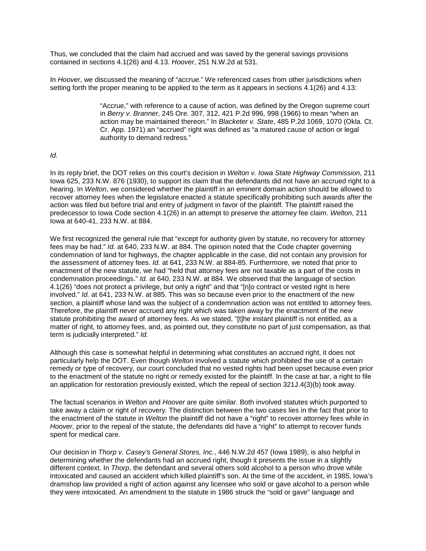Thus, we concluded that the claim had accrued and was saved by the general savings provisions contained in sections 4.1(26) and 4.13. *Hoover*, 251 N.W.2d at 531.

In *Hoover*, we discussed the meaning of "accrue." We referenced cases from other jurisdictions when setting forth the proper meaning to be applied to the term as it appears in sections 4.1(26) and 4.13:

> "Accrue," with reference to a cause of action, was defined by the Oregon supreme court in *Berry v. Branner*, 245 Ore. 307, 312, 421 P.2d 996, 998 (1966) to mean "when an action may be maintained thereon." In *Blacketer v. State*, 485 P.2d 1069, 1070 (Okla. Ct. Cr. App. 1971) an "accrued" right was defined as "a matured cause of action or legal authority to demand redress."

### *Id.*

In its reply brief, the DOT relies on this court's decision in *Welton v. Iowa State Highway Commission*, 211 Iowa 625, 233 N.W. 876 (1930), to support its claim that the defendants did not have an accrued right to a hearing. In *Welton*, we considered whether the plaintiff in an eminent domain action should be allowed to recover attorney fees when the legislature enacted a statute specifically prohibiting such awards after the action was filed but before trial and entry of judgment in favor of the plaintiff. The plaintiff raised the predecessor to Iowa Code section 4.1(26) in an attempt to preserve the attorney fee claim. *Welton*, 211 Iowa at 640-41, 233 N.W. at 884.

We first recognized the general rule that "except for authority given by statute, no recovery for attorney fees may be had." *Id.* at 640, 233 N.W. at 884. The opinion noted that the Code chapter governing condemnation of land for highways, the chapter applicable in the case, did not contain any provision for the assessment of attorney fees. *Id.* at 641, 233 N.W. at 884-85. Furthermore, we noted that prior to enactment of the new statute, we had "held that attorney fees are not taxable as a part of the costs in condemnation proceedings." *Id.* at 640, 233 N.W. at 884. We observed that the language of section 4.1(26) "does not protect a privilege, but only a right" and that "[n]o contract or vested right is here involved." *Id.* at 641, 233 N.W. at 885. This was so because even prior to the enactment of the new section, a plaintiff whose land was the subject of a condemnation action was not entitled to attorney fees. Therefore, the plaintiff never accrued any right which was taken away by the enactment of the new statute prohibiting the award of attorney fees. As we stated, "[t]he instant plaintiff is not entitled, as a matter of right, to attorney fees, and, as pointed out, they constitute no part of just compensation, as that term is judicially interpreted." *Id.*

Although this case is somewhat helpful in determining what constitutes an accrued right, it does not particularly help the DOT. Even though *Welton* involved a statute which prohibited the use of a certain remedy or type of recovery, our court concluded that no vested rights had been upset because even prior to the enactment of the statute no right or remedy existed for the plaintiff. In the case at bar, a right to file an application for restoration previously existed, which the repeal of section 321J.4(3)(b) took away.

The factual scenarios in *Welton* and *Hoover* are quite similar. Both involved statutes which purported to take away a claim or right of recovery. The distinction between the two cases lies in the fact that prior to the enactment of the statute in *Welton* the plaintiff did not have a "right" to recover attorney fees while in *Hoover,* prior to the repeal of the statute, the defendants did have a "right" to attempt to recover funds spent for medical care.

Our decision in *Thorp v. Casey's General Stores, Inc.*, 446 N.W.2d 457 (Iowa 1989), is also helpful in determining whether the defendants had an accrued right, though it presents the issue in a slightly different context. In *Thorp*, the defendant and several others sold alcohol to a person who drove while intoxicated and caused an accident which killed plaintiff's son. At the time of the accident, in 1985, Iowa's dramshop law provided a right of action against any licensee who sold or gave alcohol to a person while they were intoxicated. An amendment to the statute in 1986 struck the "sold or gave" language and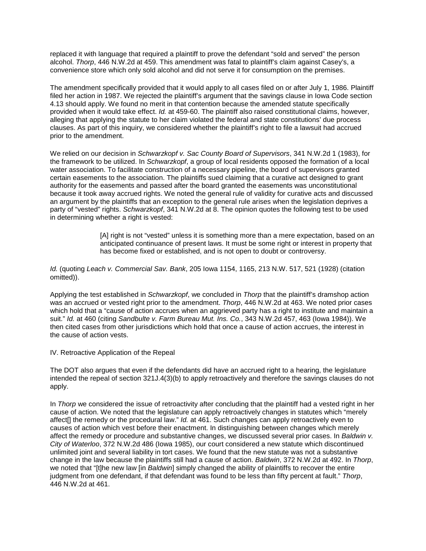replaced it with language that required a plaintiff to prove the defendant "sold and served" the person alcohol. *Thorp*, 446 N.W.2d at 459. This amendment was fatal to plaintiff's claim against Casey's, a convenience store which only sold alcohol and did not serve it for consumption on the premises.

The amendment specifically provided that it would apply to all cases filed on or after July 1, 1986. Plaintiff filed her action in 1987. We rejected the plaintiff's argument that the savings clause in Iowa Code section 4.13 should apply. We found no merit in that contention because the amended statute specifically provided when it would take effect. *Id.* at 459-60. The plaintiff also raised constitutional claims, however, alleging that applying the statute to her claim violated the federal and state constitutions' due process clauses. As part of this inquiry, we considered whether the plaintiff's right to file a lawsuit had accrued prior to the amendment.

We relied on our decision in *Schwarzkopf v. Sac County Board of Supervisors*, 341 N.W.2d 1 (1983), for the framework to be utilized. In *Schwarzkopf*, a group of local residents opposed the formation of a local water association. To facilitate construction of a necessary pipeline, the board of supervisors granted certain easements to the association. The plaintiffs sued claiming that a curative act designed to grant authority for the easements and passed after the board granted the easements was unconstitutional because it took away accrued rights. We noted the general rule of validity for curative acts and discussed an argument by the plaintiffs that an exception to the general rule arises when the legislation deprives a party of "vested" rights. *Schwarzkopf*, 341 N.W.2d at 8. The opinion quotes the following test to be used in determining whether a right is vested:

> [A] right is not "vested" unless it is something more than a mere expectation, based on an anticipated continuance of present laws. It must be some right or interest in property that has become fixed or established, and is not open to doubt or controversy.

*Id.* (quoting *Leach v. Commercial Sav. Bank*, 205 Iowa 1154, 1165, 213 N.W. 517, 521 (1928) (citation omitted)).

Applying the test established in *Schwarzkopf*, we concluded in *Thorp* that the plaintiff's dramshop action was an accrued or vested right prior to the amendment. *Thorp*, 446 N.W.2d at 463. We noted prior cases which hold that a "cause of action accrues when an aggrieved party has a right to institute and maintain a suit." *Id.* at 460 (citing *Sandbulte v. Farm Bureau Mut. Ins. Co.*, 343 N.W.2d 457, 463 (Iowa 1984)). We then cited cases from other jurisdictions which hold that once a cause of action accrues, the interest in the cause of action vests.

IV. Retroactive Application of the Repeal

The DOT also argues that even if the defendants did have an accrued right to a hearing, the legislature intended the repeal of section 321J.4(3)(b) to apply retroactively and therefore the savings clauses do not apply.

In *Thorp* we considered the issue of retroactivity after concluding that the plaintiff had a vested right in her cause of action. We noted that the legislature can apply retroactively changes in statutes which "merely affect[] the remedy or the procedural law." *Id.* at 461. Such changes can apply retroactively even to causes of action which vest before their enactment. In distinguishing between changes which merely affect the remedy or procedure and substantive changes, we discussed several prior cases. In *Baldwin v. City of Waterloo*, 372 N.W.2d 486 (Iowa 1985), our court considered a new statute which discontinued unlimited joint and several liability in tort cases. We found that the new statute was not a substantive change in the law because the plaintiffs still had a cause of action. *Baldwin*, 372 N.W.2d at 492. In *Thorp*, we noted that "[t]he new law [in *Baldwin*] simply changed the ability of plaintiffs to recover the entire judgment from one defendant, if that defendant was found to be less than fifty percent at fault." *Thorp*, 446 N.W.2d at 461.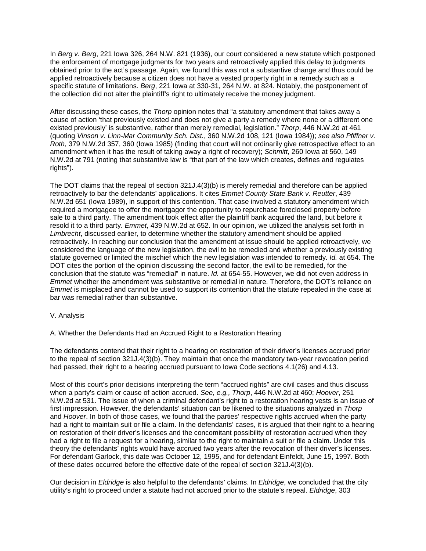In *Berg v. Berg*, 221 Iowa 326, 264 N.W. 821 (1936), our court considered a new statute which postponed the enforcement of mortgage judgments for two years and retroactively applied this delay to judgments obtained prior to the act's passage. Again, we found this was not a substantive change and thus could be applied retroactively because a citizen does not have a vested property right in a remedy such as a specific statute of limitations. *Berg*, 221 Iowa at 330-31, 264 N.W. at 824. Notably, the postponement of the collection did not alter the plaintiff's right to ultimately receive the money judgment.

After discussing these cases, the *Thorp* opinion notes that "a statutory amendment that takes away a cause of action 'that previously existed and does not give a party a remedy where none or a different one existed previously' is substantive, rather than merely remedial, legislation." *Thorp*, 446 N.W.2d at 461 (quoting *Vinson v. Linn-Mar Community Sch. Dist.*, 360 N.W.2d 108, 121 (Iowa 1984)); *see also Pfiffner v. Roth,* 379 N.W.2d 357, 360 (Iowa 1985) (finding that court will not ordinarily give retrospective effect to an amendment when it has the result of taking away a right of recovery); *Schmitt*, 260 Iowa at 560, 149 N.W.2d at 791 (noting that substantive law is "that part of the law which creates, defines and regulates rights").

The DOT claims that the repeal of section 321J.4(3)(b) is merely remedial and therefore can be applied retroactively to bar the defendants' applications. It cites *Emmet County State Bank v. Reutter*, 439 N.W.2d 651 (Iowa 1989), in support of this contention. That case involved a statutory amendment which required a mortgagee to offer the mortgagor the opportunity to repurchase foreclosed property before sale to a third party. The amendment took effect after the plaintiff bank acquired the land, but before it resold it to a third party. *Emmet*, 439 N.W.2d at 652. In our opinion, we utilized the analysis set forth in *Limbrecht*, discussed earlier, to determine whether the statutory amendment should be applied retroactively. In reaching our conclusion that the amendment at issue should be applied retroactively, we considered the language of the new legislation, the evil to be remedied and whether a previously existing statute governed or limited the mischief which the new legislation was intended to remedy. *Id.* at 654. The DOT cites the portion of the opinion discussing the second factor, the evil to be remedied, for the conclusion that the statute was "remedial" in nature. *Id.* at 654-55. However, we did not even address in *Emmet* whether the amendment was substantive or remedial in nature. Therefore, the DOT's reliance on *Emmet* is misplaced and cannot be used to support its contention that the statute repealed in the case at bar was remedial rather than substantive.

### V. Analysis

### A. Whether the Defendants Had an Accrued Right to a Restoration Hearing

The defendants contend that their right to a hearing on restoration of their driver's licenses accrued prior to the repeal of section 321J.4(3)(b). They maintain that once the mandatory two-year revocation period had passed, their right to a hearing accrued pursuant to Iowa Code sections 4.1(26) and 4.13.

Most of this court's prior decisions interpreting the term "accrued rights" are civil cases and thus discuss when a party's claim or cause of action accrued. *See, e.g., Thorp*, 446 N.W.2d at 460; *Hoover*, 251 N.W.2d at 531. The issue of when a criminal defendant's right to a restoration hearing vests is an issue of first impression. However, the defendants' situation can be likened to the situations analyzed in *Thorp*  and *Hoover*. In both of those cases, we found that the parties' respective rights accrued when the party had a right to maintain suit or file a claim. In the defendants' cases, it is argued that their right to a hearing on restoration of their driver's licenses and the concomitant possibility of restoration accrued when they had a right to file a request for a hearing, similar to the right to maintain a suit or file a claim. Under this theory the defendants' rights would have accrued two years after the revocation of their driver's licenses. For defendant Garlock, this date was October 12, 1995, and for defendant Einfeldt, June 15, 1997. Both of these dates occurred before the effective date of the repeal of section 321J.4(3)(b).

Our decision in *Eldridge* is also helpful to the defendants' claims. In *Eldridge*, we concluded that the city utility's right to proceed under a statute had not accrued prior to the statute's repeal. *Eldridge*, 303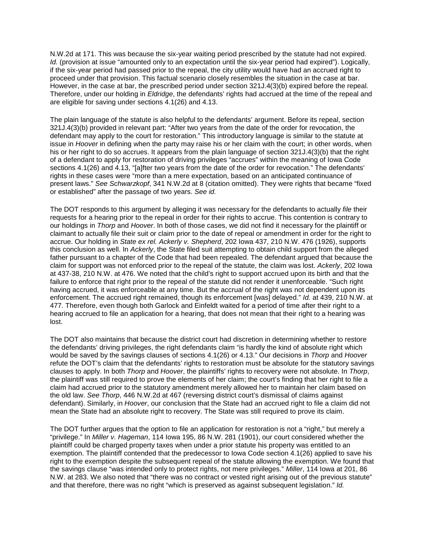N.W.2d at 171. This was because the six-year waiting period prescribed by the statute had not expired. *Id.* (provision at issue "amounted only to an expectation until the six-year period had expired"). Logically, if the six-year period had passed prior to the repeal, the city utility would have had an accrued right to proceed under that provision. This factual scenario closely resembles the situation in the case at bar. However, in the case at bar, the prescribed period under section 321J.4(3)(b) expired before the repeal. Therefore, under our holding in *Eldridge*, the defendants' rights had accrued at the time of the repeal and are eligible for saving under sections 4.1(26) and 4.13.

The plain language of the statute is also helpful to the defendants' argument. Before its repeal, section 321J.4(3)(b) provided in relevant part: "After two years from the date of the order for revocation, the defendant may apply to the court for restoration." This introductory language is similar to the statute at issue in *Hoover* in defining when the party may raise his or her claim with the court; in other words, when his or her right to do so accrues. It appears from the plain language of section 321J.4(3)(b) that the right of a defendant to apply for restoration of driving privileges "accrues" within the meaning of Iowa Code sections 4.1(26) and 4.13, "[a]fter two years from the date of the order for revocation." The defendants' rights in these cases were "more than a mere expectation, based on an anticipated continuance of present laws." *See Schwarzkopf*, 341 N.W.2d at 8 (citation omitted). They were rights that became "fixed or established" after the passage of two years. *See id.*

The DOT responds to this argument by alleging it was necessary for the defendants to actually *file* their requests for a hearing prior to the repeal in order for their rights to accrue. This contention is contrary to our holdings in *Thorp* and *Hoover*. In both of those cases, we did not find it necessary for the plaintiff or claimant to actually file their suit or claim prior to the date of repeal or amendment in order for the right to accrue. Our holding in *State ex rel. Ackerly v. Shepherd*, 202 Iowa 437, 210 N.W. 476 (1926), supports this conclusion as well. In *Ackerly*, the State filed suit attempting to obtain child support from the alleged father pursuant to a chapter of the Code that had been repealed. The defendant argued that because the claim for support was not enforced prior to the repeal of the statute, the claim was lost. *Ackerly*, 202 Iowa at 437-38, 210 N.W. at 476. We noted that the child's right to support accrued upon its birth and that the failure to enforce that right prior to the repeal of the statute did not render it unenforceable. "Such right having accrued, it was enforceable at any time. But the accrual of the right was not dependent upon its enforcement. The accrued right remained, though its enforcement [was] delayed." *Id.* at 439, 210 N.W. at 477. Therefore, even though both Garlock and Einfeldt waited for a period of time after their right to a hearing accrued to file an application for a hearing, that does not mean that their right to a hearing was lost.

The DOT also maintains that because the district court had discretion in determining whether to restore the defendants' driving privileges, the right defendants claim "is hardly the kind of absolute right which would be saved by the savings clauses of sections 4.1(26) or 4.13." Our decisions in *Thorp* and *Hoover* refute the DOT's claim that the defendants' rights to restoration must be absolute for the statutory savings clauses to apply. In both *Thorp* and *Hoover*, the plaintiffs' rights to recovery were not absolute. In *Thorp*, the plaintiff was still required to prove the elements of her claim; the court's finding that her right to file a claim had accrued prior to the statutory amendment merely allowed her to maintain her claim based on the old law. *See Thorp*, 446 N.W.2d at 467 (reversing district court's dismissal of claims against defendant). Similarly, in *Hoover*, our conclusion that the State had an accrued right to file a claim did not mean the State had an absolute right to recovery. The State was still required to prove its claim.

The DOT further argues that the option to file an application for restoration is not a "right," but merely a "privilege." In *Miller v. Hageman*, 114 Iowa 195, 86 N.W. 281 (1901), our court considered whether the plaintiff could be charged property taxes when under a prior statute his property was entitled to an exemption. The plaintiff contended that the predecessor to Iowa Code section 4.1(26) applied to save his right to the exemption despite the subsequent repeal of the statute allowing the exemption. We found that the savings clause "was intended only to protect rights, not mere privileges." *Miller*, 114 Iowa at 201, 86 N.W. at 283. We also noted that "there was no contract or vested right arising out of the previous statute" and that therefore, there was no right "which is preserved as against subsequent legislation." *Id.*